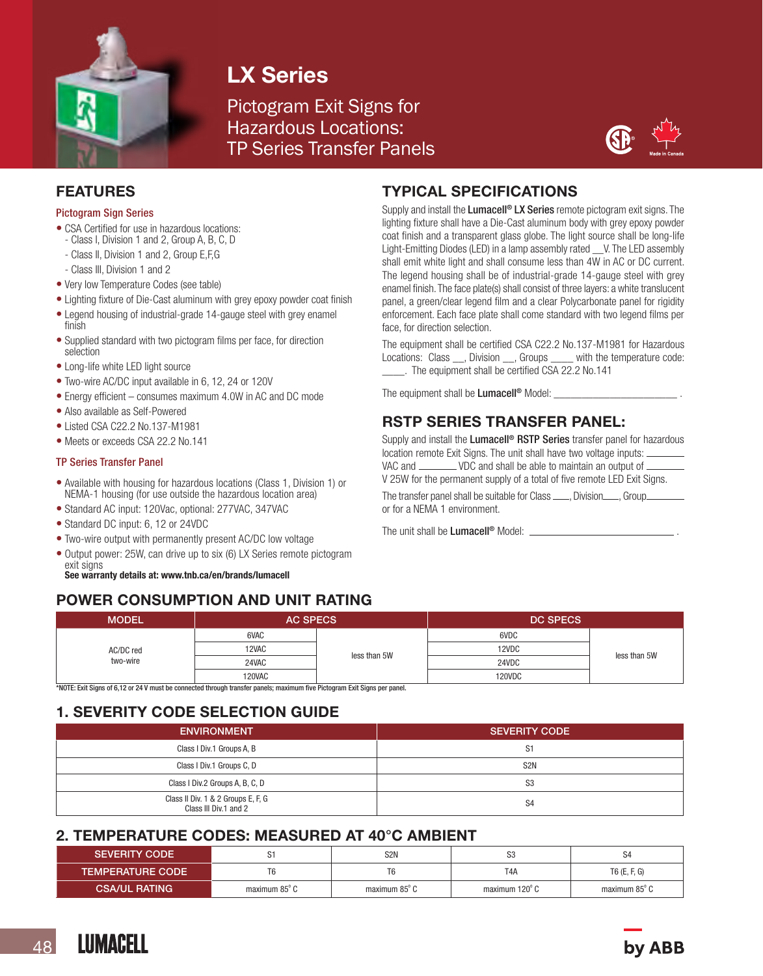

# LX Series

Pictogram Exit Signs for Hazardous Locations: TP Series Transfer Panels



#### FEATURES

#### Pictogram Sign Series

- CSA Certified for use in hazardous locations: - Class I, Division 1 and 2, Group A, B, C, D
- Class II, Division 1 and 2, Group E,F,G
- Class III, Division 1 and 2
- Very low Temperature Codes (see table)
- Lighting fixture of Die-Cast aluminum with grey epoxy powder coat finish
- Legend housing of industrial-grade 14-gauge steel with grey enamel finish
- Supplied standard with two pictogram films per face, for direction selection
- Long-life white LED light source
- Two-wire AC/DC input available in 6, 12, 24 or 120V
- Energy efficient consumes maximum 4.0W in AC and DC mode
- Also available as Self-Powered
- Listed CSA C22.2 No.137-M1981
- Meets or exceeds CSA 22.2 No.141

#### TP Series Transfer Panel

- Available with housing for hazardous locations (Class 1, Division 1) or NEMA-1 housing (for use outside the hazardous location area)
- Standard AC input: 120Vac, optional: 277VAC, 347VAC
- Standard DC input: 6, 12 or 24VDC
- Two-wire output with permanently present AC/DC low voltage
- Output power: 25W, can drive up to six (6) LX Series remote pictogram exit signs

See warranty details at: www.tnb.ca/en/brands/lumacell

# POWER CONSUMPTION AND UNIT RATING

## TYPICAL SPECIFICATIONS

Supply and install the Lumacell<sup>®</sup> LX Series remote pictogram exit signs. The lighting fixture shall have a Die-Cast aluminum body with grey epoxy powder coat finish and a transparent glass globe. The light source shall be long-life Light-Emitting Diodes (LED) in a lamp assembly rated \_\_V. The LED assembly shall emit white light and shall consume less than 4W in AC or DC current. The legend housing shall be of industrial-grade 14-gauge steel with grey enamel finish. The face plate(s) shall consist of three layers: a white translucent panel, a green/clear legend film and a clear Polycarbonate panel for rigidity enforcement. Each face plate shall come standard with two legend films per face, for direction selection.

The equipment shall be certified CSA C22.2 No.137-M1981 for Hazardous Locations: Class \_\_, Division \_\_, Groups \_\_\_\_ with the temperature code: \_\_\_\_. The equipment shall be certified CSA 22.2 No.141

The equipment shall be Lumacell<sup>®</sup> Model:

# RSTP SERIES TRANSFER PANEL:

Supply and install the Lumacell<sup>®</sup> RSTP Series transfer panel for hazardous location remote Exit Signs. The unit shall have two voltage inputs: VAC and \_\_\_\_\_\_\_\_\_ VDC and shall be able to maintain an output of \_ V 25W for the permanent supply of a total of five remote LED Exit Signs.

The transfer panel shall be suitable for Class ........, Division........, Group... or for a NEMA 1 environment.

The unit shall be Lumacell<sup>®</sup> Model:

| <b>MODEL</b>          | <b>AC SPECS</b> |              | <b>DC SPECS</b> |              |
|-----------------------|-----------------|--------------|-----------------|--------------|
| AC/DC red<br>two-wire | 6VAC            | less than 5W | 6VDC            | less than 5W |
|                       | 12VAC           |              | 12VDC           |              |
|                       | 24VAC           |              | 24VDC           |              |
|                       | 120VAC          |              | 120VDC          |              |

\*NOTE: Exit Signs of 6,12 or 24 V must be connected through transfer panels; maximum five Pictogram Exit Signs per panel.

### 1. SEVERITY CODE SELECTION GUIDE

| <b>ENVIRONMENT</b>                                          | <b>SEVERITY CODE</b> |
|-------------------------------------------------------------|----------------------|
| Class I Div.1 Groups A, B                                   | S1                   |
| Class I Div.1 Groups C, D                                   | S <sub>2N</sub>      |
| Class I Div.2 Groups A, B, C, D                             | S <sub>3</sub>       |
| Class II Div. 1 & 2 Groups E, F, G<br>Class III Div.1 and 2 | S <sub>4</sub>       |

### 2. TEMPERATURE CODES: MEASURED AT 40°C AMBIENT

| <b>SEVERITY CODE</b>    |                         | S <sub>2N</sub>      | S3             | 54             |
|-------------------------|-------------------------|----------------------|----------------|----------------|
| <b>TEMPERATURE CODE</b> |                         |                      | T4A            | $T6$ (E, F, G) |
| <b>CSA/UL RATING</b>    | maximum 85 $^{\circ}$ C | maximum $85^\circ$ C | maximum 120° C | maximum 85°C   |